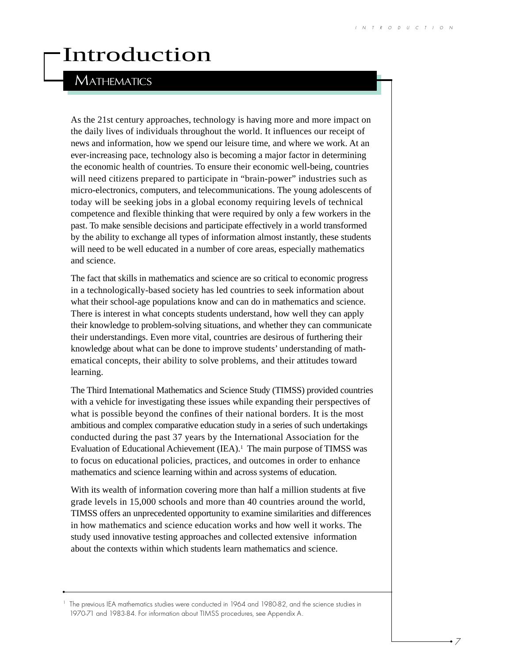# Introduction

## **MATHEMATICS**

As the 21st century approaches, technology is having more and more impact on the daily lives of individuals throughout the world. It influences our receipt of news and information, how we spend our leisure time, and where we work. At an ever-increasing pace, technology also is becoming a major factor in determining the economic health of countries. To ensure their economic well-being, countries will need citizens prepared to participate in "brain-power" industries such as micro-electronics, computers, and telecommunications. The young adolescents of today will be seeking jobs in a global economy requiring levels of technical competence and flexible thinking that were required by only a few workers in the past. To make sensible decisions and participate effectively in a world transformed by the ability to exchange all types of information almost instantly, these students will need to be well educated in a number of core areas, especially mathematics and science.

The fact that skills in mathematics and science are so critical to economic progress in a technologically-based society has led countries to seek information about what their school-age populations know and can do in mathematics and science. There is interest in what concepts students understand, how well they can apply their knowledge to problem-solving situations, and whether they can communicate their understandings. Even more vital, countries are desirous of furthering their knowledge about what can be done to improve students' understanding of mathematical concepts, their ability to solve problems, and their attitudes toward learning.

The Third International Mathematics and Science Study (TIMSS) provided countries with a vehicle for investigating these issues while expanding their perspectives of what is possible beyond the confines of their national borders. It is the most ambitious and complex comparative education study in a series of such undertakings conducted during the past 37 years by the International Association for the Evaluation of Educational Achievement (IEA).<sup>1</sup> The main purpose of TIMSS was to focus on educational policies, practices, and outcomes in order to enhance mathematics and science learning within and across systems of education.

With its wealth of information covering more than half a million students at five grade levels in 15,000 schools and more than 40 countries around the world, TIMSS offers an unprecedented opportunity to examine similarities and differences in how mathematics and science education works and how well it works. The study used innovative testing approaches and collected extensive information about the contexts within which students learn mathematics and science.

<sup>1</sup> The previous IEA mathematics studies were conducted in 1964 and 1980-82, and the science studies in 1970-71 and 1983-84. For information about TIMSS procedures, see Appendix A.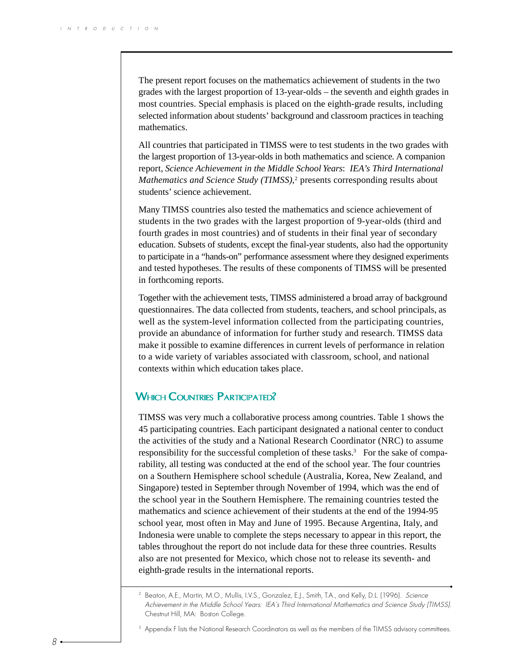The present report focuses on the mathematics achievement of students in the two grades with the largest proportion of 13-year-olds – the seventh and eighth grades in most countries. Special emphasis is placed on the eighth-grade results, including selected information about students' background and classroom practices in teaching mathematics.

All countries that participated in TIMSS were to test students in the two grades with the largest proportion of 13-year-olds in both mathematics and science. A companion report, *Science Achievement in the Middle School Years*: *IEA's Third International Mathematics and Science Study (TIMSS)*, 2 presents corresponding results about students' science achievement.

Many TIMSS countries also tested the mathematics and science achievement of students in the two grades with the largest proportion of 9-year-olds (third and fourth grades in most countries) and of students in their final year of secondary education. Subsets of students, except the final-year students, also had the opportunity to participate in a "hands-on" performance assessment where they designed experiments and tested hypotheses. The results of these components of TIMSS will be presented in forthcoming reports.

Together with the achievement tests, TIMSS administered a broad array of background questionnaires. The data collected from students, teachers, and school principals, as well as the system-level information collected from the participating countries, provide an abundance of information for further study and research. TIMSS data make it possible to examine differences in current levels of performance in relation to a wide variety of variables associated with classroom, school, and national contexts within which education takes place.

### **WHICH COUNTRIES PARTICIPATED?**

TIMSS was very much a collaborative process among countries. Table 1 shows the 45 participating countries. Each participant designated a national center to conduct the activities of the study and a National Research Coordinator (NRC) to assume responsibility for the successful completion of these tasks.<sup>3</sup> For the sake of comparability, all testing was conducted at the end of the school year. The four countries on a Southern Hemisphere school schedule (Australia, Korea, New Zealand, and Singapore) tested in September through November of 1994, which was the end of the school year in the Southern Hemisphere. The remaining countries tested the mathematics and science achievement of their students at the end of the 1994-95 school year, most often in May and June of 1995. Because Argentina, Italy, and Indonesia were unable to complete the steps necessary to appear in this report, the tables throughout the report do not include data for these three countries. Results also are not presented for Mexico, which chose not to release its seventh- and eighth-grade results in the international reports.

<sup>&</sup>lt;sup>2</sup> Beaton, A.E., Martin, M.O., Mullis, I.V.S., Gonzalez, E.J., Smith, T.A., and Kelly, D.L. (1996). Science Achievement in the Middle School Years: IEA's Third International Mathematics and Science Study (TIMSS). Chestnut Hill, MA: Boston College.

<sup>&</sup>lt;sup>3</sup> Appendix F lists the National Research Coordinators as well as the members of the TIMSS advisory committees.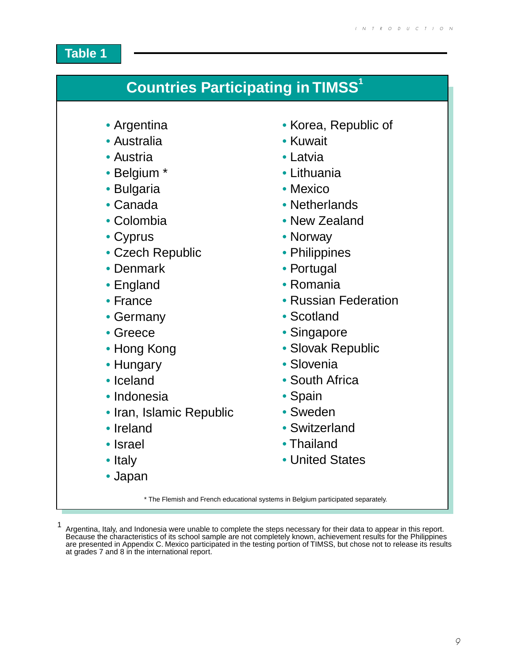## **Countries Participating in TIMSS<sup>1</sup>**

- Argentina
- Australia
- Austria
- Belgium \*
- Bulgaria
- Canada
- Colombia
- Cyprus
- Czech Republic
- Denmark
- England
- France
- Germany
- Greece
- Hong Kong
- Hungary
- Iceland
- Indonesia
- Iran, Islamic Republic
- Ireland
- Israel
- Italy
- Japan
- Korea, Republic of
- Kuwait
- Latvia
- Lithuania
- Mexico
- Netherlands
- New Zealand
- Norway
- Philippines
- Portugal
- Romania
- Russian Federation
- Scotland
- Singapore
- Slovak Republic
- Slovenia
- South Africa
- Spain
- Sweden
- Switzerland
- Thailand
- United States

\* The Flemish and French educational systems in Belgium participated separately.

<sup>1</sup> Argentina, Italy, and Indonesia were unable to complete the steps necessary for their data to appear in this report. Because the characteristics of its school sample are not completely known, achievement results for the Philippines are presented in Appendix C. Mexico participated in the testing portion of TIMSS, but chose not to release its results at grades 7 and 8 in the international report.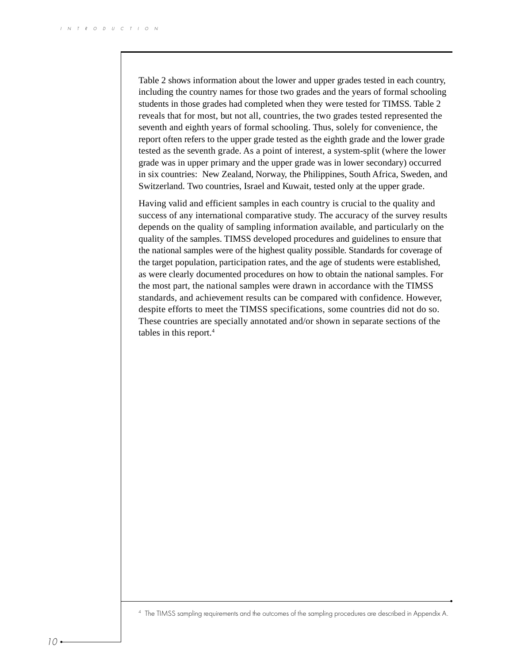Table 2 shows information about the lower and upper grades tested in each country, including the country names for those two grades and the years of formal schooling students in those grades had completed when they were tested for TIMSS. Table 2 reveals that for most, but not all, countries, the two grades tested represented the seventh and eighth years of formal schooling. Thus, solely for convenience, the report often refers to the upper grade tested as the eighth grade and the lower grade tested as the seventh grade. As a point of interest, a system-split (where the lower grade was in upper primary and the upper grade was in lower secondary) occurred in six countries: New Zealand, Norway, the Philippines, South Africa, Sweden, and Switzerland. Two countries, Israel and Kuwait, tested only at the upper grade.

Having valid and efficient samples in each country is crucial to the quality and success of any international comparative study. The accuracy of the survey results depends on the quality of sampling information available, and particularly on the quality of the samples. TIMSS developed procedures and guidelines to ensure that the national samples were of the highest quality possible. Standards for coverage of the target population, participation rates, and the age of students were established, as were clearly documented procedures on how to obtain the national samples. For the most part, the national samples were drawn in accordance with the TIMSS standards, and achievement results can be compared with confidence. However, despite efforts to meet the TIMSS specifications, some countries did not do so. These countries are specially annotated and/or shown in separate sections of the tables in this report.<sup>4</sup>

<sup>&</sup>lt;sup>4</sup> The TIMSS sampling requirements and the outcomes of the sampling procedures are described in Appendix A.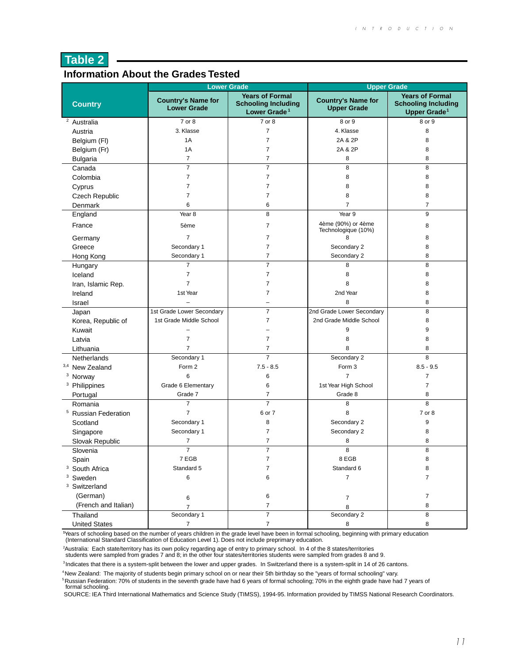#### **Information About the Grades Tested**

|                                 | <b>Lower Grade</b>                              |                                                                                  | <b>Upper Grade</b>                              |                                                                                  |  |
|---------------------------------|-------------------------------------------------|----------------------------------------------------------------------------------|-------------------------------------------------|----------------------------------------------------------------------------------|--|
| <b>Country</b>                  | <b>Country's Name for</b><br><b>Lower Grade</b> | <b>Years of Formal</b><br><b>Schooling Including</b><br>Lower Grade <sup>1</sup> | <b>Country's Name for</b><br><b>Upper Grade</b> | <b>Years of Formal</b><br><b>Schooling Including</b><br>Upper Grade <sup>1</sup> |  |
| <sup>2</sup> Australia          | 7 or 8                                          | 7 or 8                                                                           | 8 or 9                                          | 8 or 9                                                                           |  |
| Austria                         | 3. Klasse                                       | $\overline{7}$                                                                   | 4. Klasse                                       | 8                                                                                |  |
| Belgium (FI)                    | 1A                                              | $\overline{7}$                                                                   | 2A & 2P                                         | 8                                                                                |  |
| Belgium (Fr)                    | 1A                                              | $\overline{7}$                                                                   | 2A & 2P                                         | 8                                                                                |  |
| <b>Bulgaria</b>                 | $\overline{7}$                                  | $\overline{7}$                                                                   | 8                                               | 8                                                                                |  |
| Canada                          | $\overline{7}$                                  | $\overline{7}$                                                                   | 8                                               | 8                                                                                |  |
| Colombia                        | $\overline{7}$                                  | $\overline{7}$                                                                   | 8                                               | 8                                                                                |  |
| Cyprus                          | $\overline{7}$                                  | $\overline{7}$                                                                   | 8                                               | 8                                                                                |  |
| Czech Republic                  | $\overline{7}$                                  | $\overline{7}$                                                                   | 8                                               | 8                                                                                |  |
| Denmark                         | 6                                               | 6                                                                                | $\overline{7}$                                  | $\overline{7}$                                                                   |  |
| England                         | Year 8                                          | 8                                                                                | Year 9                                          | 9                                                                                |  |
| France                          | 5ème                                            | $\overline{7}$                                                                   | 4ème (90%) or 4ème<br>Technologique (10%)       | 8                                                                                |  |
| Germany                         | $\overline{7}$                                  | 7                                                                                | 8                                               | 8                                                                                |  |
| Greece                          | Secondary 1                                     | $\overline{7}$                                                                   | Secondary 2                                     | 8                                                                                |  |
| Hong Kong                       | Secondary 1                                     | $\overline{7}$                                                                   | Secondary 2                                     | 8                                                                                |  |
| Hungary                         | $\overline{7}$                                  | $\overline{7}$                                                                   | 8                                               | 8                                                                                |  |
| Iceland                         | $\overline{7}$                                  | 7                                                                                | 8                                               | 8                                                                                |  |
| Iran, Islamic Rep.              | $\overline{7}$                                  | $\overline{7}$                                                                   | 8                                               | 8                                                                                |  |
| Ireland                         | 1st Year                                        | $\overline{7}$                                                                   | 2nd Year                                        | 8                                                                                |  |
| Israel                          |                                                 | $\overline{\phantom{m}}$                                                         | 8                                               | 8                                                                                |  |
| Japan                           | 1st Grade Lower Secondary                       | $\overline{7}$                                                                   | 2nd Grade Lower Secondary                       | 8                                                                                |  |
| Korea, Republic of              | 1st Grade Middle School                         | $\overline{7}$                                                                   | 2nd Grade Middle School                         | 8                                                                                |  |
| Kuwait                          |                                                 | Ē,                                                                               | 9                                               | 9                                                                                |  |
| Latvia                          | $\overline{7}$                                  | $\overline{7}$                                                                   | 8                                               | 8                                                                                |  |
| Lithuania                       | $\overline{7}$                                  | $\overline{7}$                                                                   | 8                                               | 8                                                                                |  |
| <b>Netherlands</b>              | Secondary 1                                     | $\overline{7}$                                                                   | Secondary 2                                     | 8                                                                                |  |
| 3,4 New Zealand                 | Form 2                                          | $7.5 - 8.5$                                                                      | Form 3                                          | $8.5 - 9.5$                                                                      |  |
| <sup>3</sup> Norway             | 6                                               | 6                                                                                | $\overline{7}$                                  | $\overline{7}$                                                                   |  |
| <sup>3</sup> Philippines        | Grade 6 Elementary                              | 6                                                                                | 1st Year High School                            | $\overline{7}$                                                                   |  |
| Portugal                        | Grade 7                                         | $\overline{7}$                                                                   | Grade 8                                         | 8                                                                                |  |
| Romania                         | $\overline{7}$                                  | $\overline{7}$                                                                   | 8                                               | 8                                                                                |  |
| <sup>5</sup> Russian Federation | $\overline{7}$                                  | 6 or 7                                                                           | 8                                               | 7 or 8                                                                           |  |
| Scotland                        | Secondary 1                                     | 8                                                                                | Secondary 2                                     | 9                                                                                |  |
| Singapore                       | Secondary 1                                     | $\overline{7}$                                                                   | Secondary 2                                     | 8                                                                                |  |
| Slovak Republic                 | 7                                               | 7                                                                                | 8                                               | 8                                                                                |  |
| Slovenia                        | $\overline{7}$                                  | $\overline{7}$                                                                   | 8                                               | 8                                                                                |  |
| Spain                           | 7 EGB                                           | 7                                                                                | 8 EGB                                           | 8                                                                                |  |
| <sup>3</sup> South Africa       | Standard 5                                      | $\overline{7}$                                                                   | Standard 6                                      | 8                                                                                |  |
| <sup>3</sup> Sweden             | 6                                               | 6                                                                                | $\overline{7}$                                  | $\overline{7}$                                                                   |  |
| <sup>3</sup> Switzerland        |                                                 |                                                                                  |                                                 |                                                                                  |  |
| (German)                        | 6                                               | 6                                                                                | $\overline{7}$                                  | $\overline{7}$                                                                   |  |
| (French and Italian)            | $\overline{7}$                                  | $\overline{7}$                                                                   | 8                                               | 8                                                                                |  |
| Thailand                        | Secondary 1                                     | $\overline{7}$                                                                   | Secondary 2                                     | 8                                                                                |  |
| <b>United States</b>            | $\overline{\mathbf{7}}$                         | $\overline{7}$                                                                   | 8                                               | 8                                                                                |  |

**1** Years of schooling based on the number of years children in the grade level have been in formal schooling, beginning with primary education (International Standard Classification of Education Level 1). Does not include preprimary education.

2 Australia: Each state/territory has its own policy regarding age of entry to primary school. In 4 of the 8 states/territories

students were sampled from grades 7 and 8; in the other four states/territories students were sampled from grades 8 and 9.

<sup>3</sup> Indicates that there is a system-split between the lower and upper grades. In Switzerland there is a system-split in 14 of 26 cantons.

4New Zealand: The majority of students begin primary school on or near their 5th birthday so the "years of formal schooling" vary.

5Russian Federation: 70% of students in the seventh grade have had 6 years of formal schooling; 70% in the eighth grade have had 7 years of formal schooling.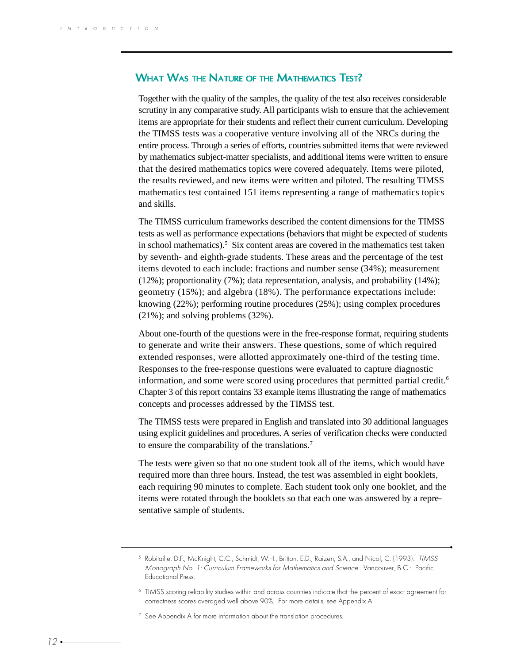### WHAT WAS THE NATURE OF THE MATHEMATICS TEST?

Together with the quality of the samples, the quality of the test also receives considerable scrutiny in any comparative study. All participants wish to ensure that the achievement items are appropriate for their students and reflect their current curriculum. Developing the TIMSS tests was a cooperative venture involving all of the NRCs during the entire process. Through a series of efforts, countries submitted items that were reviewed by mathematics subject-matter specialists, and additional items were written to ensure that the desired mathematics topics were covered adequately. Items were piloted, the results reviewed, and new items were written and piloted. The resulting TIMSS mathematics test contained 151 items representing a range of mathematics topics and skills.

The TIMSS curriculum frameworks described the content dimensions for the TIMSS tests as well as performance expectations (behaviors that might be expected of students in school mathematics).5 Six content areas are covered in the mathematics test taken by seventh- and eighth-grade students. These areas and the percentage of the test items devoted to each include: fractions and number sense (34%); measurement (12%); proportionality (7%); data representation, analysis, and probability (14%); geometry (15%); and algebra (18%). The performance expectations include: knowing (22%); performing routine procedures (25%); using complex procedures (21%); and solving problems (32%).

About one-fourth of the questions were in the free-response format, requiring students to generate and write their answers. These questions, some of which required extended responses, were allotted approximately one-third of the testing time. Responses to the free-response questions were evaluated to capture diagnostic information, and some were scored using procedures that permitted partial credit.<sup>6</sup> Chapter 3 of this report contains 33 example items illustrating the range of mathematics concepts and processes addressed by the TIMSS test.

The TIMSS tests were prepared in English and translated into 30 additional languages using explicit guidelines and procedures. A series of verification checks were conducted to ensure the comparability of the translations.7

The tests were given so that no one student took all of the items, which would have required more than three hours. Instead, the test was assembled in eight booklets, each requiring 90 minutes to complete. Each student took only one booklet, and the items were rotated through the booklets so that each one was answered by a representative sample of students.

<sup>5</sup> Robitaille, D.F., McKnight, C.C., Schmidt, W.H., Britton, E.D., Raizen, S.A., and Nicol, C. (1993). TIMSS Monograph No. 1: Curriculum Frameworks for Mathematics and Science. Vancouver, B.C.: Pacific Educational Press.

<sup>6</sup> TIMSS scoring reliability studies within and across countries indicate that the percent of exact agreement for correctness scores averaged well above 90%. For more details, see Appendix A.

 $7$  See Appendix A for more information about the translation procedures.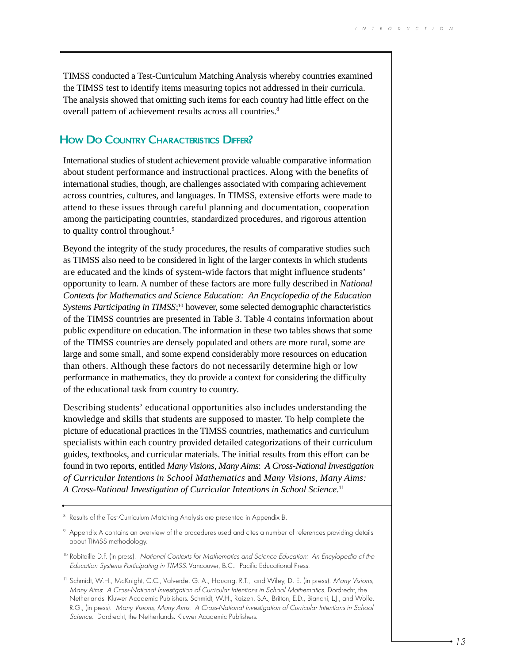TIMSS conducted a Test-Curriculum Matching Analysis whereby countries examined the TIMSS test to identify items measuring topics not addressed in their curricula. The analysis showed that omitting such items for each country had little effect on the overall pattern of achievement results across all countries.<sup>8</sup>

#### HOW DO COUNTRY CHARACTERISTICS DIFFER?

International studies of student achievement provide valuable comparative information about student performance and instructional practices. Along with the benefits of international studies, though, are challenges associated with comparing achievement across countries, cultures, and languages. In TIMSS, extensive efforts were made to attend to these issues through careful planning and documentation, cooperation among the participating countries, standardized procedures, and rigorous attention to quality control throughout.<sup>9</sup>

Beyond the integrity of the study procedures, the results of comparative studies such as TIMSS also need to be considered in light of the larger contexts in which students are educated and the kinds of system-wide factors that might influence students' opportunity to learn. A number of these factors are more fully described in *National Contexts for Mathematics and Science Education: An Encyclopedia of the Education* Systems Participating in TIMSS;<sup>10</sup> however, some selected demographic characteristics of the TIMSS countries are presented in Table 3. Table 4 contains information about public expenditure on education. The information in these two tables shows that some of the TIMSS countries are densely populated and others are more rural, some are large and some small, and some expend considerably more resources on education than others. Although these factors do not necessarily determine high or low performance in mathematics, they do provide a context for considering the difficulty of the educational task from country to country.

Describing students' educational opportunities also includes understanding the knowledge and skills that students are supposed to master. To help complete the picture of educational practices in the TIMSS countries, mathematics and curriculum specialists within each country provided detailed categorizations of their curriculum guides, textbooks, and curricular materials. The initial results from this effort can be found in two reports, entitled *Many Visions, Many Aims*: *A Cross-National Investigation of Curricular Intentions in School Mathematics* and *Many Visions, Many Aims: A Cross-National Investigation of Curricular Intentions in School Science*. 11

<sup>8</sup> Results of the Test-Curriculum Matching Analysis are presented in Appendix B.

<sup>9</sup> Appendix A contains an overview of the procedures used and cites a number of references providing details about TIMSS methodology.

<sup>&</sup>lt;sup>10</sup> Robitaille D.F. (in press). National Contexts for Mathematics and Science Education: An Encylopedia of the Education Systems Participating in TIMSS. Vancouver, B.C.: Pacific Educational Press.

<sup>&</sup>lt;sup>11</sup> Schmidt, W.H., McKnight, C.C., Valverde, G. A., Houang, R.T., and Wiley, D. E. (in press). Many Visions, Many Aims: A Cross-National Investigation of Curricular Intentions in School Mathematics. Dordrecht, the Netherlands: Kluwer Academic Publishers. Schmidt, W.H., Raizen, S.A., Britton, E.D., Bianchi, L.J., and Wolfe, R.G., (in press). Many Visions, Many Aims: A Cross-National Investigation of Curricular Intentions in School Science. Dordrecht, the Netherlands: Kluwer Academic Publishers.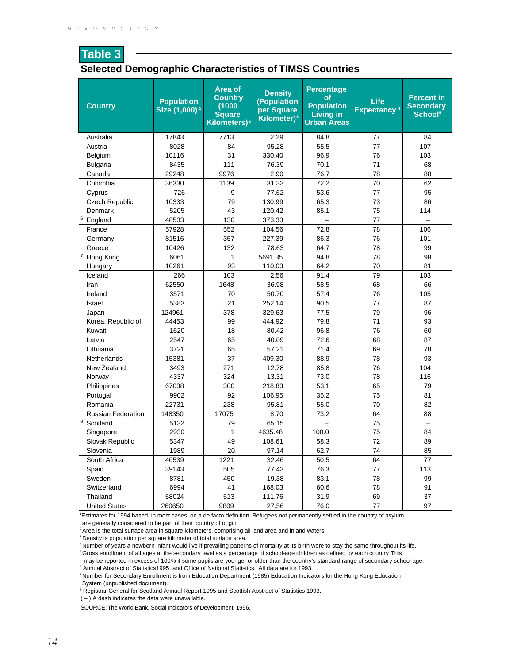### **Selected Demographic Characteristics of TIMSS Countries**

| <b>Country</b>            | <b>Population</b><br>Size (1,000) <sup>1</sup> | Area of<br><b>Country</b><br>(1000)<br><b>Square</b><br>Kilometers) <sup>2</sup> | <b>Density</b><br>(Population<br>per Square<br>Kilometer) <sup>3</sup> | <b>Percentage</b><br>of<br><b>Population</b><br><b>Living in</b><br><b>Urban Areas</b> | Life<br><b>Expectancy</b> <sup>4</sup> | <b>Percent in</b><br><b>Secondary</b><br>School <sup>5</sup> |
|---------------------------|------------------------------------------------|----------------------------------------------------------------------------------|------------------------------------------------------------------------|----------------------------------------------------------------------------------------|----------------------------------------|--------------------------------------------------------------|
| Australia                 | 17843                                          | 7713                                                                             | 2.29                                                                   | 84.8                                                                                   | 77                                     | 84                                                           |
| Austria                   | 8028                                           | 84                                                                               | 95.28                                                                  | 55.5                                                                                   | 77                                     | 107                                                          |
| Belgium                   | 10116                                          | 31                                                                               | 330.40                                                                 | 96.9                                                                                   | 76                                     | 103                                                          |
| <b>Bulgaria</b>           | 8435                                           | 111                                                                              | 76.39                                                                  | 70.1                                                                                   | 71                                     | 68                                                           |
| Canada                    | 29248                                          | 9976                                                                             | 2.90                                                                   | 76.7                                                                                   | 78                                     | 88                                                           |
| Colombia                  | 36330                                          | 1139                                                                             | 31.33                                                                  | 72.2                                                                                   | 70                                     | 62                                                           |
| Cyprus                    | 726                                            | 9                                                                                | 77.62                                                                  | 53.6                                                                                   | 77                                     | 95                                                           |
| <b>Czech Republic</b>     | 10333                                          | 79                                                                               | 130.99                                                                 | 65.3                                                                                   | 73                                     | 86                                                           |
| Denmark                   | 5205                                           | 43                                                                               | 120.42                                                                 | 85.1                                                                                   | 75                                     | 114                                                          |
| <sup>6</sup> England      | 48533                                          | 130                                                                              | 373.33                                                                 |                                                                                        | 77                                     |                                                              |
| France                    | 57928                                          | 552                                                                              | 104.56                                                                 | 72.8                                                                                   | 78                                     | 106                                                          |
| Germany                   | 81516                                          | 357                                                                              | 227.39                                                                 | 86.3                                                                                   | 76                                     | 101                                                          |
| Greece                    | 10426                                          | 132                                                                              | 78.63                                                                  | 64.7                                                                                   | 78                                     | 99                                                           |
| 7 Hong Kong               | 6061                                           | 1                                                                                | 5691.35                                                                | 94.8                                                                                   | 78                                     | 98                                                           |
| Hungary                   | 10261                                          | 93                                                                               | 110.03                                                                 | 64.2                                                                                   | 70                                     | 81                                                           |
| Iceland                   | 266                                            | 103                                                                              | 2.56                                                                   | 91.4                                                                                   | 79                                     | 103                                                          |
| Iran                      | 62550                                          | 1648                                                                             | 36.98                                                                  | 58.5                                                                                   | 68                                     | 66                                                           |
| Ireland                   | 3571                                           | 70                                                                               | 50.70                                                                  | 57.4                                                                                   | 76                                     | 105                                                          |
| Israel                    | 5383                                           | 21                                                                               | 252.14                                                                 | 90.5                                                                                   | 77                                     | 87                                                           |
| Japan                     | 124961                                         | 378                                                                              | 329.63                                                                 | 77.5                                                                                   | 79                                     | 96                                                           |
| Korea, Republic of        | 44453                                          | 99                                                                               | 444.92                                                                 | 79.8                                                                                   | 71                                     | 93                                                           |
| Kuwait                    | 1620                                           | 18                                                                               | 80.42                                                                  | 96.8                                                                                   | 76                                     | 60                                                           |
| Latvia                    | 2547                                           | 65                                                                               | 40.09                                                                  | 72.6                                                                                   | 68                                     | 87                                                           |
| Lithuania                 | 3721                                           | 65                                                                               | 57.21                                                                  | 71.4                                                                                   | 69                                     | 78                                                           |
| Netherlands               | 15381                                          | 37                                                                               | 409.30                                                                 | 88.9                                                                                   | 78                                     | 93                                                           |
| New Zealand               | 3493                                           | 271                                                                              | 12.78                                                                  | 85.8                                                                                   | 76                                     | 104                                                          |
| Norway                    | 4337                                           | 324                                                                              | 13.31                                                                  | 73.0                                                                                   | 78                                     | 116                                                          |
| Philippines               | 67038                                          | 300                                                                              | 218.83                                                                 | 53.1                                                                                   | 65                                     | 79                                                           |
| Portugal                  | 9902                                           | 92                                                                               | 106.95                                                                 | 35.2                                                                                   | 75                                     | 81                                                           |
| Romania                   | 22731                                          | 238                                                                              | 95.81                                                                  | 55.0                                                                                   | 70                                     | 82                                                           |
| <b>Russian Federation</b> | 148350                                         | 17075                                                                            | 8.70                                                                   | 73.2                                                                                   | 64                                     | 88                                                           |
| $^{\rm 8}$<br>Scotland    | 5132                                           | 79                                                                               | 65.15                                                                  |                                                                                        | 75                                     | $\overline{\phantom{0}}$                                     |
| Singapore                 | 2930                                           | $\mathbf{1}$                                                                     | 4635.48                                                                | 100.0                                                                                  | 75                                     | 84                                                           |
| Slovak Republic           | 5347                                           | 49                                                                               | 108.61                                                                 | 58.3                                                                                   | 72                                     | 89                                                           |
| Slovenia                  | 1989                                           | 20                                                                               | 97.14                                                                  | 62.7                                                                                   | 74                                     | 85                                                           |
| South Africa              | 40539                                          | 1221                                                                             | 32.46                                                                  | 50.5                                                                                   | 64                                     | 77                                                           |
| Spain                     | 39143                                          | 505                                                                              | 77.43                                                                  | 76.3                                                                                   | 77                                     | 113                                                          |
| Sweden                    | 8781                                           | 450                                                                              | 19.38                                                                  | 83.1                                                                                   | 78                                     | 99                                                           |
| Switzerland               | 6994                                           | 41                                                                               | 168.03                                                                 | 60.6                                                                                   | 78                                     | 91                                                           |
| Thailand                  | 58024                                          | 513                                                                              | 111.76                                                                 | 31.9                                                                                   | 69                                     | 37                                                           |
| <b>United States</b>      | 260650                                         | 9809                                                                             | 27.56                                                                  | 76.0                                                                                   | 77                                     | 97                                                           |

1 Estimates for 1994 based, in most cases, on a de facto definition. Refugees not permanently settled in the country of asylum

are generally considered to be part of their country of origin.

2 Area is the total surface area in square kilometers, comprising all land area and inland waters.

<sup>3</sup> Density is population per square kilometer of total surface area.

4 Number of years a newborn infant would live if prevailing patterns of mortality at its birth were to stay the same throughout its life.

5 Gross enrollment of all ages at the secondary level as a percentage of school-age children as defined by each country. This

 may be reported in excess of 100% if some pupils are younger or older than the country's standard range of secondary school age. 6 Annual Abstract of Statistics1995, and Office of National Statistics. All data are for 1993.

7 Number for Secondary Enrollment is from Education Department (1985) Education Indicators for the Hong Kong Education

System (unpublished document).

<sup>8</sup> Registrar General for Scotland Annual Report 1995 and Scottish Abstract of Statistics 1993.

 $(-)$  A dash indicates the data were unavailable.

SOURCE: The World Bank, Social Indicators of Development, 1996.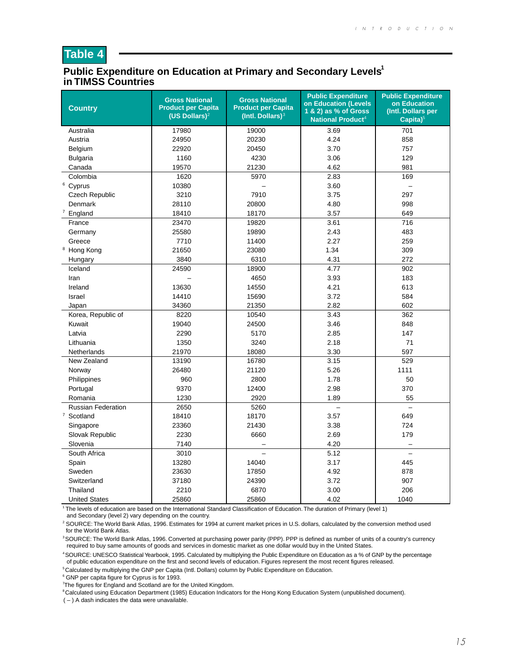#### Public Expenditure on Education at Primary and Secondary Levels<sup>1</sup> **in TIMSS Countries**

| <b>Country</b>            | <b>Gross National</b><br><b>Product per Capita</b><br>(US Dollars) $2$ | <b>Gross National</b><br><b>Product per Capita</b><br>(Intl. Dollars) <sup>3</sup> | <b>Public Expenditure</b><br>on Education (Levels<br>1 & 2) as % of Gross<br><b>National Product<sup>4</sup></b> | <b>Public Expenditure</b><br>on Education<br>(Intl. Dollars per<br>$Capita)^5$ |
|---------------------------|------------------------------------------------------------------------|------------------------------------------------------------------------------------|------------------------------------------------------------------------------------------------------------------|--------------------------------------------------------------------------------|
| Australia                 | 17980                                                                  | 19000                                                                              | 3.69                                                                                                             | 701                                                                            |
| Austria                   | 24950                                                                  | 20230                                                                              | 4.24                                                                                                             | 858                                                                            |
| Belgium                   | 22920                                                                  | 20450                                                                              | 3.70                                                                                                             | 757                                                                            |
| <b>Bulgaria</b>           | 1160                                                                   | 4230                                                                               | 3.06                                                                                                             | 129                                                                            |
| Canada                    | 19570                                                                  | 21230                                                                              | 4.62                                                                                                             | 981                                                                            |
| Colombia                  | 1620                                                                   | 5970                                                                               | 2.83                                                                                                             | 169                                                                            |
| <sup>6</sup> Cyprus       | 10380                                                                  |                                                                                    | 3.60                                                                                                             | $\overline{\phantom{m}}$                                                       |
| Czech Republic            | 3210                                                                   | 7910                                                                               | 3.75                                                                                                             | 297                                                                            |
| Denmark                   | 28110                                                                  | 20800                                                                              | 4.80                                                                                                             | 998                                                                            |
| $7$ England               | 18410                                                                  | 18170                                                                              | 3.57                                                                                                             | 649                                                                            |
| France                    | 23470                                                                  | 19820                                                                              | 3.61                                                                                                             | 716                                                                            |
| Germany                   | 25580                                                                  | 19890                                                                              | 2.43                                                                                                             | 483                                                                            |
| Greece                    | 7710                                                                   | 11400                                                                              | 2.27                                                                                                             | 259                                                                            |
| <sup>8</sup> Hong Kong    | 21650                                                                  | 23080                                                                              | 1.34                                                                                                             | 309                                                                            |
| Hungary                   | 3840                                                                   | 6310                                                                               | 4.31                                                                                                             | 272                                                                            |
| Iceland                   | 24590                                                                  | 18900                                                                              | 4.77                                                                                                             | 902                                                                            |
| Iran                      |                                                                        | 4650                                                                               | 3.93                                                                                                             | 183                                                                            |
| Ireland                   | 13630                                                                  | 14550                                                                              | 4.21                                                                                                             | 613                                                                            |
| Israel                    | 14410                                                                  | 15690                                                                              | 3.72                                                                                                             | 584                                                                            |
| Japan                     | 34360                                                                  | 21350                                                                              | 2.82                                                                                                             | 602                                                                            |
| Korea, Republic of        | 8220                                                                   | 10540                                                                              | 3.43                                                                                                             | 362                                                                            |
| Kuwait                    | 19040                                                                  | 24500                                                                              | 3.46                                                                                                             | 848                                                                            |
| Latvia                    | 2290                                                                   | 5170                                                                               | 2.85                                                                                                             | 147                                                                            |
| Lithuania                 | 1350                                                                   | 3240                                                                               | 2.18                                                                                                             | 71                                                                             |
| Netherlands               | 21970                                                                  | 18080                                                                              | 3.30                                                                                                             | 597                                                                            |
| New Zealand               | 13190                                                                  | 16780                                                                              | 3.15                                                                                                             | 529                                                                            |
| Norway                    | 26480                                                                  | 21120                                                                              | 5.26                                                                                                             | 1111                                                                           |
| Philippines               | 960                                                                    | 2800                                                                               | 1.78                                                                                                             | 50                                                                             |
| Portugal                  | 9370                                                                   | 12400                                                                              | 2.98                                                                                                             | 370                                                                            |
| Romania                   | 1230                                                                   | 2920                                                                               | 1.89                                                                                                             | 55                                                                             |
| <b>Russian Federation</b> | 2650                                                                   | 5260                                                                               |                                                                                                                  | $\equiv$                                                                       |
| 7 Scotland                | 18410                                                                  | 18170                                                                              | 3.57                                                                                                             | 649                                                                            |
| Singapore                 | 23360                                                                  | 21430                                                                              | 3.38                                                                                                             | 724                                                                            |
| Slovak Republic           | 2230                                                                   | 6660                                                                               | 2.69                                                                                                             | 179                                                                            |
| Slovenia                  | 7140                                                                   |                                                                                    | 4.20                                                                                                             | $\equiv$                                                                       |
| South Africa              | 3010                                                                   |                                                                                    | 5.12                                                                                                             |                                                                                |
| Spain                     | 13280                                                                  | 14040                                                                              | 3.17                                                                                                             | 445                                                                            |
| Sweden                    | 23630                                                                  | 17850                                                                              | 4.92                                                                                                             | 878                                                                            |
| Switzerland               | 37180                                                                  | 24390                                                                              | 3.72                                                                                                             | 907                                                                            |
| Thailand                  | 2210                                                                   | 6870                                                                               | 3.00                                                                                                             | 206                                                                            |
| <b>United States</b>      | 25860                                                                  | 25860                                                                              | 4.02                                                                                                             | 1040                                                                           |

1 The levels of education are based on the International Standard Classification of Education. The duration of Primary (level 1) and Secondary (level 2) vary depending on the country.

<sup>2</sup> SOURCE: The World Bank Atlas, 1996. Estimates for 1994 at current market prices in U.S. dollars, calculated by the conversion method used for the World Bank Atlas.

<sup>3</sup>SOURCE: The World Bank Atlas, 1996. Converted at purchasing power parity (PPP). PPP is defined as number of units of a country's currency required to buy same amounts of goods and services in domestic market as one dollar would buy in the United States.

4SOURCE: UNESCO Statistical Yearbook, 1995. Calculated by multiplying the Public Expenditure on Education as a % of GNP by the percentage of public education expenditure on the first and second levels of education. Figures represent the most recent figures released.

5Calculated by multiplying the GNP per Capita (Intl. Dollars) column by Public Expenditure on Education.

<sup>6</sup> GNP per capita figure for Cyprus is for 1993.

<sup>7</sup>The figures for England and Scotland are for the United Kingdom.

<sup>8</sup>Calculated using Education Department (1985) Education Indicators for the Hong Kong Education System (unpublished document).

 $(-)$  A dash indicates the data were unavailable.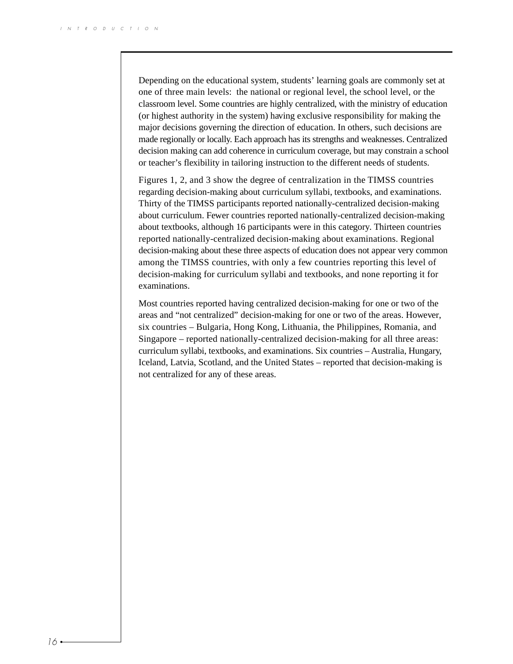Depending on the educational system, students' learning goals are commonly set at one of three main levels: the national or regional level, the school level, or the classroom level. Some countries are highly centralized, with the ministry of education (or highest authority in the system) having exclusive responsibility for making the major decisions governing the direction of education. In others, such decisions are made regionally or locally. Each approach has its strengths and weaknesses. Centralized decision making can add coherence in curriculum coverage, but may constrain a school or teacher's flexibility in tailoring instruction to the different needs of students.

Figures 1, 2, and 3 show the degree of centralization in the TIMSS countries regarding decision-making about curriculum syllabi, textbooks, and examinations. Thirty of the TIMSS participants reported nationally-centralized decision-making about curriculum. Fewer countries reported nationally-centralized decision-making about textbooks, although 16 participants were in this category. Thirteen countries reported nationally-centralized decision-making about examinations. Regional decision-making about these three aspects of education does not appear very common among the TIMSS countries, with only a few countries reporting this level of decision-making for curriculum syllabi and textbooks, and none reporting it for examinations.

Most countries reported having centralized decision-making for one or two of the areas and "not centralized" decision-making for one or two of the areas. However, six countries – Bulgaria, Hong Kong, Lithuania, the Philippines, Romania, and Singapore – reported nationally-centralized decision-making for all three areas: curriculum syllabi, textbooks, and examinations. Six countries – Australia, Hungary, Iceland, Latvia, Scotland, and the United States – reported that decision-making is not centralized for any of these areas.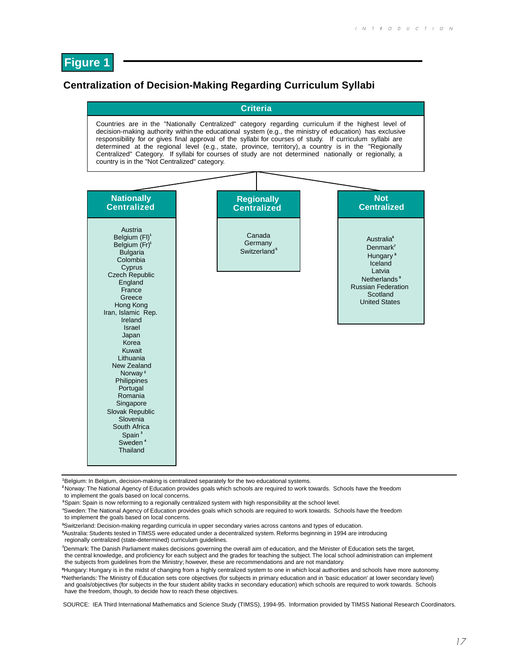### **Figure 1**

#### **Centralization of Decision-Making Regarding Curriculum Syllabi**



1Belgium: In Belgium, decision-making is centralized separately for the two educational systems.

- **2** Norway: The National Agency of Education provides goals which schools are required to work towards. Schools have the freedom to implement the goals based on local concerns.
- **3** Spain: Spain is now reforming to a regionally centralized system with high responsibility at the school level.
- Sweden: The National Agency of Education provides goals which schools are required to work towards. Schools have the freedom 4 to implement the goals based on local concerns.
- Switzerland: Decision-making regarding curricula in upper secondary varies across cantons and types of education. **5**
- Australia: Students tested in TIMSS were educated under a decentralized system. Reforms beginning in 1994 are introducing **6** regionally centralized (state-determined) curriculum guidelines.

<sup>7</sup>Denmark: The Danish Parliament makes decisions governing the overall aim of education, and the Minister of Education sets the target, the central knowledge, and proficiency for each subject and the grades for teaching the subject. The local school administration can implement the subjects from guidelines from the Ministry; however, these are recommendations and are not mandatory.

Hungary: Hungary is in the midst of changing from a highly centralized system to one in which local authorities and schools have more autonomy. **8** Netherlands: The Ministry of Education sets core objectives (for subjects in primary education and in 'basic education' at lower secondary level) **9** and goals/objectives (for subjects in the four student ability tracks in secondary education) which schools are required to work towards. Schools have the freedom, though, to decide how to reach these objectives.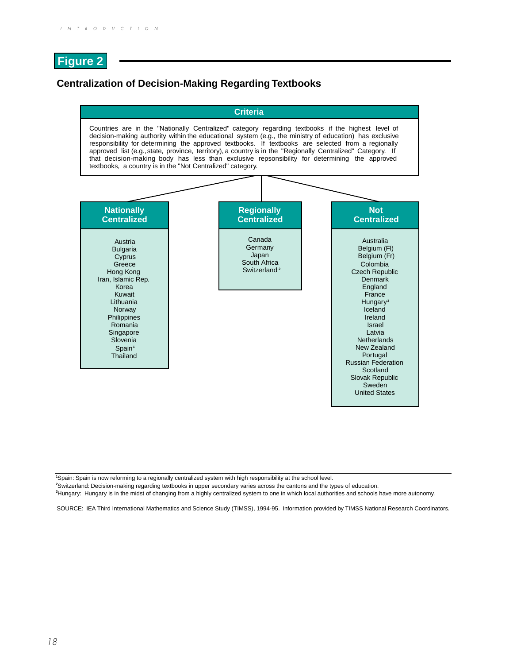### **Figure 2**

### **Centralization of Decision-Making Regarding Textbooks**

#### Countries are in the "Nationally Centralized" category regarding textbooks if the highest level of decision-making authority within the educational system (e.g., the ministry of education) has exclusive responsibility for determining the approved textbooks. If textbooks are selected from a regionally approved list (e.g.,state, province, territory), a country is in the "Regionally Centralized" Category. If that decision-making body has less than exclusive repsonsibility for determining the approved textbooks, a country is in the "Not Centralized" category. **Criteria** Austria Bulgaria **Cyprus Greece** Hong Kong Iran, Islamic Rep. Korea Kuwait Lithuania Norway **Philippines** Romania Singapore Slovenia Spain**<sup>1</sup> Thailand Nationally Centralized Regionally Centralized Germany** South Africa Switzerland **<sup>2</sup>** Australia Belgium (Fl) Belgium (Fr) Canada Colombia Czech Republic Denmark England **France** Hungary**<sup>3</sup>** Iceland Ireland Israel Japan Latvia **Netherlands** New Zealand Portugal Russian Federation **Scotland** Slovak Republic **Sweden** United States **Not Centralized**

**1** Spain: Spain is now reforming to a regionally centralized system with high responsibility at the school level.

**2** Switzerland: Decision-making regarding textbooks in upper secondary varies across the cantons and the types of education.

**3** Hungary: Hungary is in the midst of changing from a highly centralized system to one in which local authorities and schools have more autonomy.